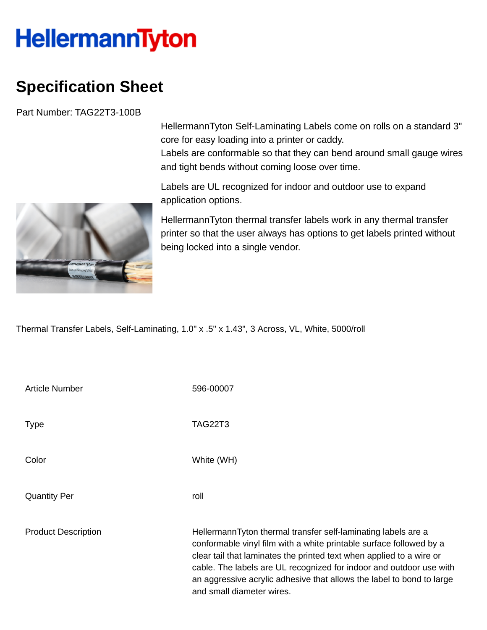## **HellermannTyton**

## **Specification Sheet**

Part Number: TAG22T3-100B

HellermannTyton Self-Laminating Labels come on rolls on a standard 3" core for easy loading into a printer or caddy. Labels are conformable so that they can bend around small gauge wires

and tight bends without coming loose over time.

Labels are UL recognized for indoor and outdoor use to expand application options.

HellermannTyton thermal transfer labels work in any thermal transfer printer so that the user always has options to get labels printed without being locked into a single vendor.

Thermal Transfer Labels, Self-Laminating, 1.0" x .5" x 1.43", 3 Across, VL, White, 5000/roll

| <b>Article Number</b>      | 596-00007                                                                                                                                                                                                                                                                                                                                                                                 |
|----------------------------|-------------------------------------------------------------------------------------------------------------------------------------------------------------------------------------------------------------------------------------------------------------------------------------------------------------------------------------------------------------------------------------------|
| <b>Type</b>                | <b>TAG22T3</b>                                                                                                                                                                                                                                                                                                                                                                            |
| Color                      | White (WH)                                                                                                                                                                                                                                                                                                                                                                                |
| <b>Quantity Per</b>        | roll                                                                                                                                                                                                                                                                                                                                                                                      |
| <b>Product Description</b> | HellermannTyton thermal transfer self-laminating labels are a<br>conformable vinyl film with a white printable surface followed by a<br>clear tail that laminates the printed text when applied to a wire or<br>cable. The labels are UL recognized for indoor and outdoor use with<br>an aggressive acrylic adhesive that allows the label to bond to large<br>and small diameter wires. |

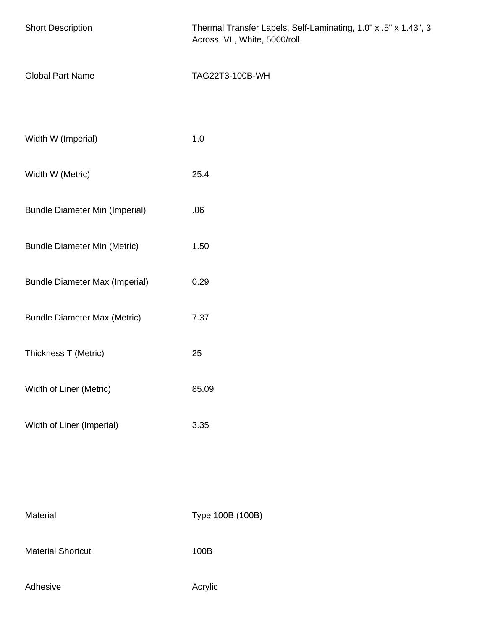| <b>Short Description</b>              | Thermal Transfer Labels, Self-Laminating, 1.0" x .5" x 1.43", 3<br>Across, VL, White, 5000/roll |
|---------------------------------------|-------------------------------------------------------------------------------------------------|
| <b>Global Part Name</b>               | TAG22T3-100B-WH                                                                                 |
|                                       |                                                                                                 |
| Width W (Imperial)                    | 1.0                                                                                             |
| Width W (Metric)                      | 25.4                                                                                            |
| <b>Bundle Diameter Min (Imperial)</b> | .06                                                                                             |
| <b>Bundle Diameter Min (Metric)</b>   | 1.50                                                                                            |
| <b>Bundle Diameter Max (Imperial)</b> | 0.29                                                                                            |
| <b>Bundle Diameter Max (Metric)</b>   | 7.37                                                                                            |
| Thickness T (Metric)                  | 25                                                                                              |
| Width of Liner (Metric)               | 85.09                                                                                           |
| Width of Liner (Imperial)             | 3.35                                                                                            |
|                                       |                                                                                                 |
|                                       |                                                                                                 |
| Material                              | Type 100B (100B)                                                                                |

Material Shortcut 100B

Adhesive **Adhesive** Acrylic